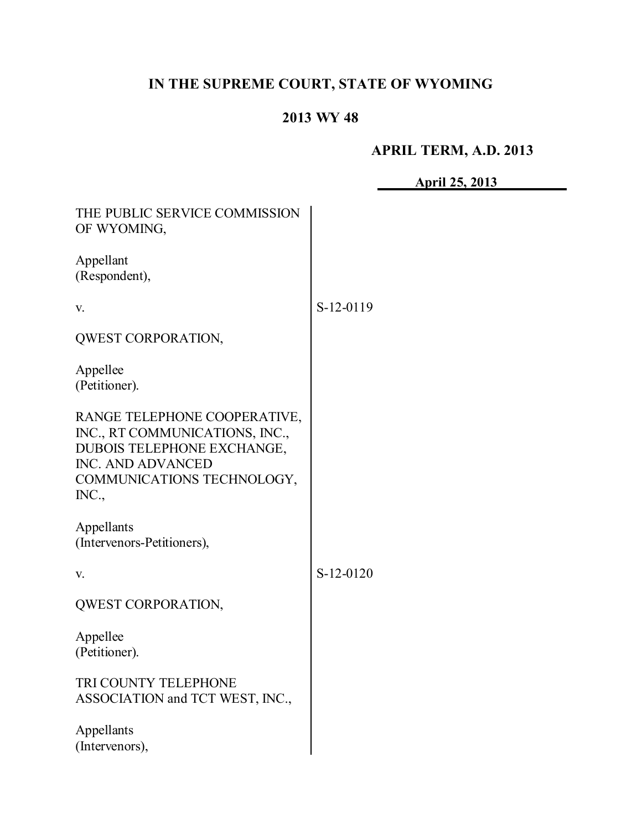# **IN THE SUPREME COURT, STATE OF WYOMING**

## **2013 WY 48**

# **APRIL TERM, A.D. 2013**

**April 25, 2013**

| THE PUBLIC SERVICE COMMISSION<br>OF WYOMING,                                                                                                             |           |
|----------------------------------------------------------------------------------------------------------------------------------------------------------|-----------|
| Appellant<br>(Respondent),                                                                                                                               |           |
| V.                                                                                                                                                       | S-12-0119 |
| QWEST CORPORATION,                                                                                                                                       |           |
| Appellee<br>(Petitioner).                                                                                                                                |           |
| RANGE TELEPHONE COOPERATIVE,<br>INC., RT COMMUNICATIONS, INC.,<br>DUBOIS TELEPHONE EXCHANGE,<br>INC. AND ADVANCED<br>COMMUNICATIONS TECHNOLOGY,<br>INC., |           |
| Appellants<br>(Intervenors-Petitioners),                                                                                                                 |           |
| V.                                                                                                                                                       | S-12-0120 |
| QWEST CORPORATION,                                                                                                                                       |           |
| Appellee<br>(Petitioner).                                                                                                                                |           |
| TRI COUNTY TELEPHONE<br>ASSOCIATION and TCT WEST, INC.,                                                                                                  |           |
| Appellants<br>(Intervenors),                                                                                                                             |           |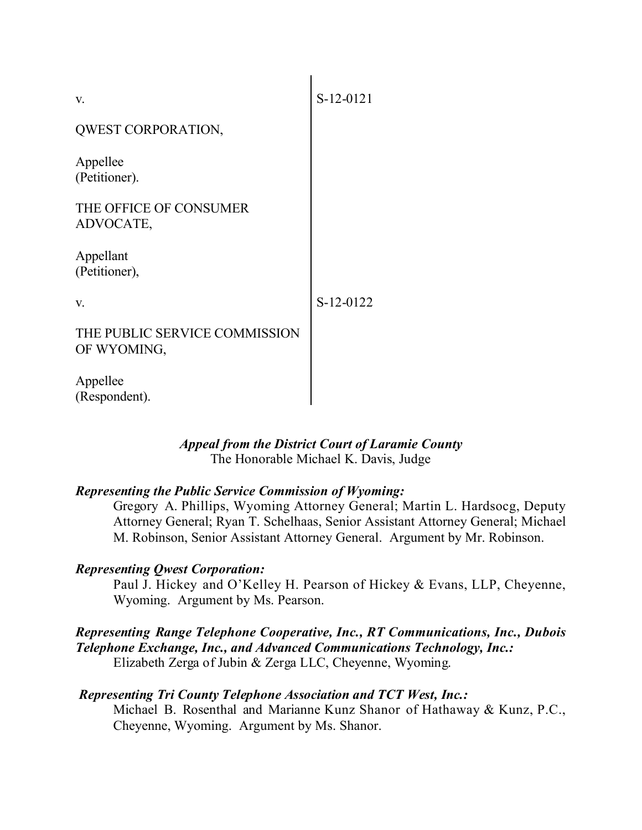| V.                                           | S-12-0121 |
|----------------------------------------------|-----------|
| QWEST CORPORATION,                           |           |
| Appellee<br>(Petitioner).                    |           |
| THE OFFICE OF CONSUMER<br>ADVOCATE,          |           |
| Appellant<br>(Petitioner),                   |           |
| V.                                           | S-12-0122 |
| THE PUBLIC SERVICE COMMISSION<br>OF WYOMING, |           |
| Appellee<br>(Respondent).                    |           |

#### *Appeal from the District Court of Laramie County* The Honorable Michael K. Davis, Judge

## *Representing the Public Service Commission of Wyoming:*

Gregory A. Phillips, Wyoming Attorney General; Martin L. Hardsocg, Deputy Attorney General; Ryan T. Schelhaas, Senior Assistant Attorney General; Michael M. Robinson, Senior Assistant Attorney General. Argument by Mr. Robinson.

## *Representing Qwest Corporation:*

Paul J. Hickey and O'Kelley H. Pearson of Hickey & Evans, LLP, Cheyenne, Wyoming. Argument by Ms. Pearson.

#### *Representing Range Telephone Cooperative, Inc., RT Communications, Inc., Dubois Telephone Exchange, Inc., and Advanced Communications Technology, Inc.:* Elizabeth Zerga of Jubin & Zerga LLC, Cheyenne, Wyoming.

#### *Representing Tri County Telephone Association and TCT West, Inc.:*

Michael B. Rosenthal and Marianne Kunz Shanor of Hathaway & Kunz, P.C., Cheyenne, Wyoming. Argument by Ms. Shanor.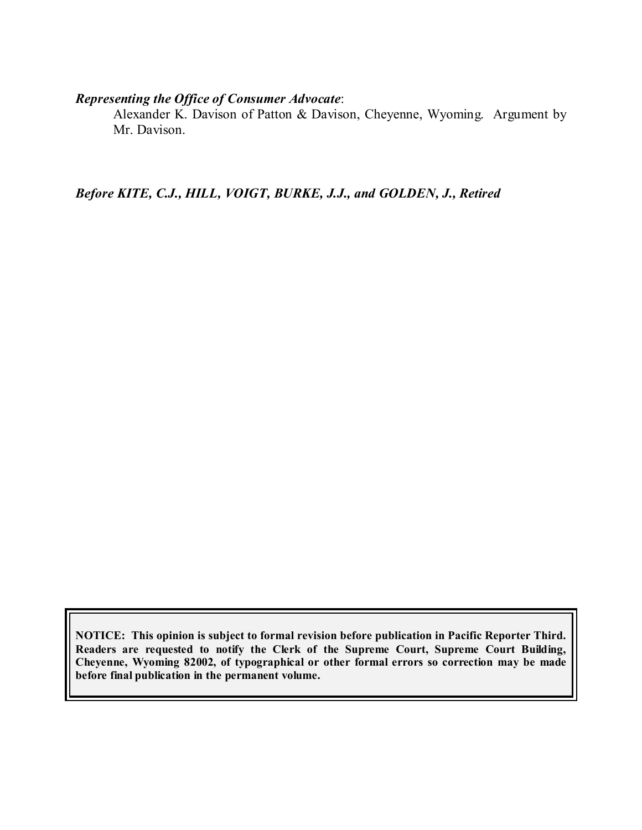#### *Representing the Office of Consumer Advocate*:

Alexander K. Davison of Patton & Davison, Cheyenne, Wyoming. Argument by Mr. Davison.

*Before KITE, C.J., HILL, VOIGT, BURKE, J.J., and GOLDEN, J., Retired*

**NOTICE: This opinion is subject to formal revision before publication in Pacific Reporter Third. Readers are requested to notify the Clerk of the Supreme Court, Supreme Court Building, Cheyenne, Wyoming 82002, of typographical or other formal errors so correction may be made before final publication in the permanent volume.**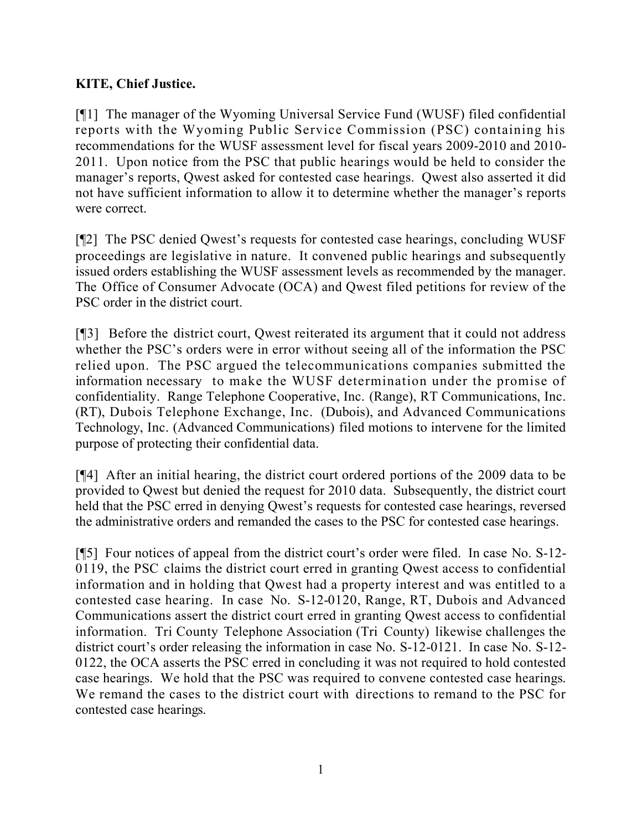## **KITE, Chief Justice.**

[¶1] The manager of the Wyoming Universal Service Fund (WUSF) filed confidential reports with the Wyoming Public Service Commission (PSC) containing his recommendations for the WUSF assessment level for fiscal years 2009-2010 and 2010- 2011. Upon notice from the PSC that public hearings would be held to consider the manager's reports, Qwest asked for contested case hearings. Qwest also asserted it did not have sufficient information to allow it to determine whether the manager's reports were correct.

[¶2] The PSC denied Qwest's requests for contested case hearings, concluding WUSF proceedings are legislative in nature. It convened public hearings and subsequently issued orders establishing the WUSF assessment levels as recommended by the manager. The Office of Consumer Advocate (OCA) and Qwest filed petitions for review of the PSC order in the district court.

[¶3] Before the district court, Qwest reiterated its argument that it could not address whether the PSC's orders were in error without seeing all of the information the PSC relied upon. The PSC argued the telecommunications companies submitted the information necessary to make the WUSF determination under the promise of confidentiality. Range Telephone Cooperative, Inc. (Range), RT Communications, Inc. (RT), Dubois Telephone Exchange, Inc. (Dubois), and Advanced Communications Technology, Inc. (Advanced Communications) filed motions to intervene for the limited purpose of protecting their confidential data.

[¶4] After an initial hearing, the district court ordered portions of the 2009 data to be provided to Qwest but denied the request for 2010 data. Subsequently, the district court held that the PSC erred in denying Qwest's requests for contested case hearings, reversed the administrative orders and remanded the cases to the PSC for contested case hearings.

[¶5] Four notices of appeal from the district court's order were filed. In case No. S-12- 0119, the PSC claims the district court erred in granting Qwest access to confidential information and in holding that Qwest had a property interest and was entitled to a contested case hearing. In case No. S-12-0120, Range, RT, Dubois and Advanced Communications assert the district court erred in granting Qwest access to confidential information. Tri County Telephone Association (Tri County) likewise challenges the district court's order releasing the information in case No. S-12-0121. In case No. S-12- 0122, the OCA asserts the PSC erred in concluding it was not required to hold contested case hearings. We hold that the PSC was required to convene contested case hearings. We remand the cases to the district court with directions to remand to the PSC for contested case hearings.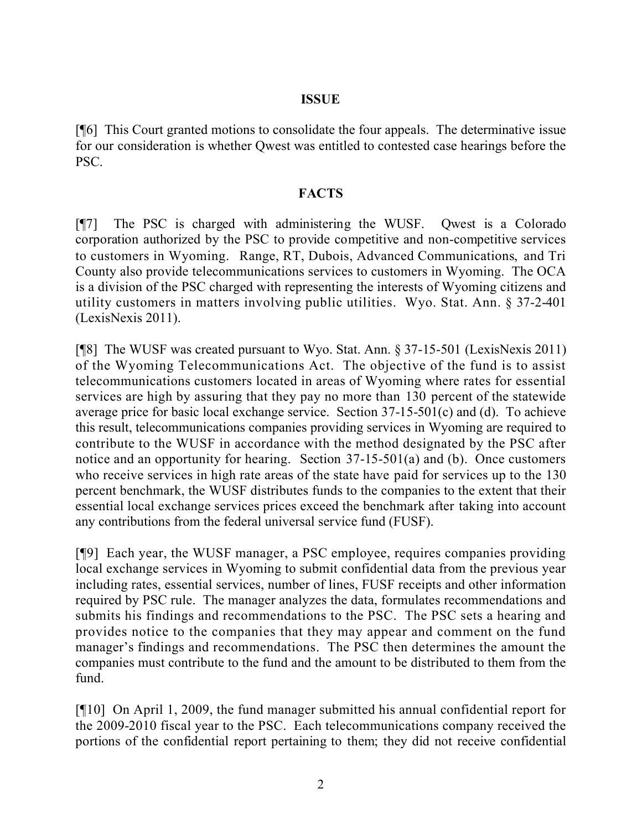#### **ISSUE**

[¶6] This Court granted motions to consolidate the four appeals. The determinative issue for our consideration is whether Qwest was entitled to contested case hearings before the PSC.

#### **FACTS**

[¶7] The PSC is charged with administering the WUSF. Qwest is a Colorado corporation authorized by the PSC to provide competitive and non-competitive services to customers in Wyoming. Range, RT, Dubois, Advanced Communications, and Tri County also provide telecommunications services to customers in Wyoming. The OCA is a division of the PSC charged with representing the interests of Wyoming citizens and utility customers in matters involving public utilities. Wyo. Stat. Ann. § 37-2-401 (LexisNexis 2011).

[¶8] The WUSF was created pursuant to Wyo. Stat. Ann. § 37-15-501 (LexisNexis 2011) of the Wyoming Telecommunications Act. The objective of the fund is to assist telecommunications customers located in areas of Wyoming where rates for essential services are high by assuring that they pay no more than 130 percent of the statewide average price for basic local exchange service. Section 37-15-501(c) and (d). To achieve this result, telecommunications companies providing services in Wyoming are required to contribute to the WUSF in accordance with the method designated by the PSC after notice and an opportunity for hearing. Section 37-15-501(a) and (b). Once customers who receive services in high rate areas of the state have paid for services up to the 130 percent benchmark, the WUSF distributes funds to the companies to the extent that their essential local exchange services prices exceed the benchmark after taking into account any contributions from the federal universal service fund (FUSF).

[¶9] Each year, the WUSF manager, a PSC employee, requires companies providing local exchange services in Wyoming to submit confidential data from the previous year including rates, essential services, number of lines, FUSF receipts and other information required by PSC rule. The manager analyzes the data, formulates recommendations and submits his findings and recommendations to the PSC. The PSC sets a hearing and provides notice to the companies that they may appear and comment on the fund manager's findings and recommendations. The PSC then determines the amount the companies must contribute to the fund and the amount to be distributed to them from the fund.

[¶10] On April 1, 2009, the fund manager submitted his annual confidential report for the 2009-2010 fiscal year to the PSC. Each telecommunications company received the portions of the confidential report pertaining to them; they did not receive confidential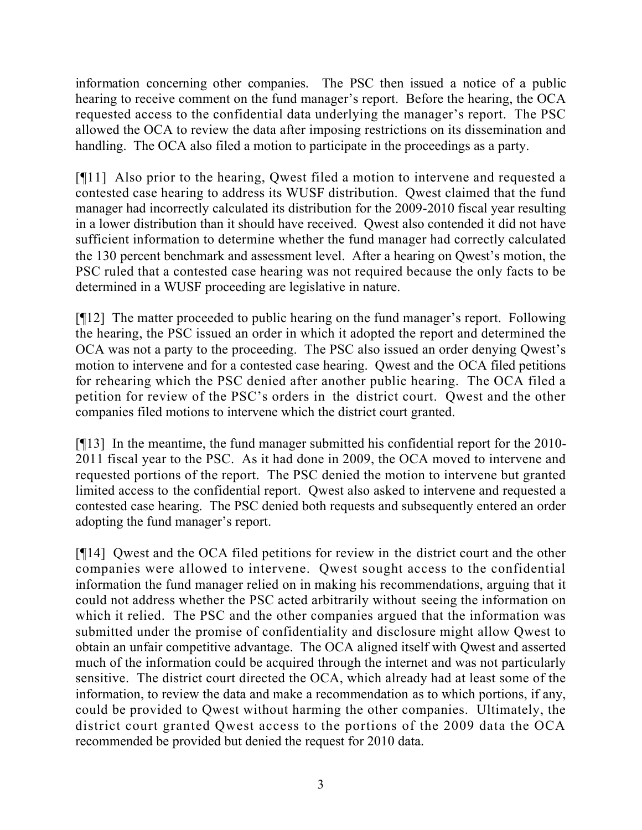information concerning other companies. The PSC then issued a notice of a public hearing to receive comment on the fund manager's report. Before the hearing, the OCA requested access to the confidential data underlying the manager's report. The PSC allowed the OCA to review the data after imposing restrictions on its dissemination and handling. The OCA also filed a motion to participate in the proceedings as a party.

[¶11] Also prior to the hearing, Qwest filed a motion to intervene and requested a contested case hearing to address its WUSF distribution. Qwest claimed that the fund manager had incorrectly calculated its distribution for the 2009-2010 fiscal year resulting in a lower distribution than it should have received. Qwest also contended it did not have sufficient information to determine whether the fund manager had correctly calculated the 130 percent benchmark and assessment level. After a hearing on Qwest's motion, the PSC ruled that a contested case hearing was not required because the only facts to be determined in a WUSF proceeding are legislative in nature.

[¶12] The matter proceeded to public hearing on the fund manager's report. Following the hearing, the PSC issued an order in which it adopted the report and determined the OCA was not a party to the proceeding. The PSC also issued an order denying Qwest's motion to intervene and for a contested case hearing. Qwest and the OCA filed petitions for rehearing which the PSC denied after another public hearing. The OCA filed a petition for review of the PSC's orders in the district court. Qwest and the other companies filed motions to intervene which the district court granted.

[¶13] In the meantime, the fund manager submitted his confidential report for the 2010- 2011 fiscal year to the PSC. As it had done in 2009, the OCA moved to intervene and requested portions of the report. The PSC denied the motion to intervene but granted limited access to the confidential report. Qwest also asked to intervene and requested a contested case hearing. The PSC denied both requests and subsequently entered an order adopting the fund manager's report.

[¶14] Qwest and the OCA filed petitions for review in the district court and the other companies were allowed to intervene. Qwest sought access to the confidential information the fund manager relied on in making his recommendations, arguing that it could not address whether the PSC acted arbitrarily without seeing the information on which it relied. The PSC and the other companies argued that the information was submitted under the promise of confidentiality and disclosure might allow Qwest to obtain an unfair competitive advantage. The OCA aligned itself with Qwest and asserted much of the information could be acquired through the internet and was not particularly sensitive. The district court directed the OCA, which already had at least some of the information, to review the data and make a recommendation as to which portions, if any, could be provided to Qwest without harming the other companies. Ultimately, the district court granted Qwest access to the portions of the 2009 data the OCA recommended be provided but denied the request for 2010 data.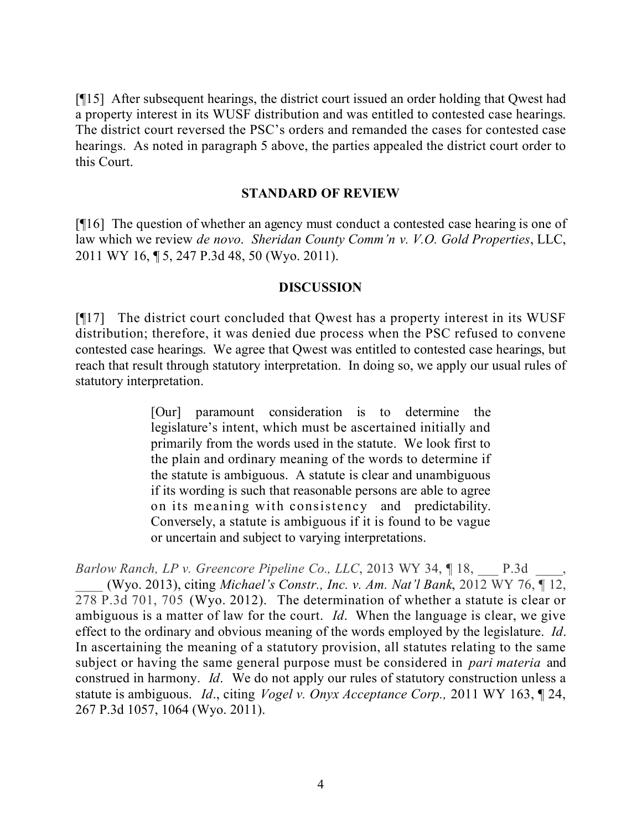[¶15] After subsequent hearings, the district court issued an order holding that Qwest had a property interest in its WUSF distribution and was entitled to contested case hearings. The district court reversed the PSC's orders and remanded the cases for contested case hearings. As noted in paragraph 5 above, the parties appealed the district court order to this Court.

#### **STANDARD OF REVIEW**

[¶16] The question of whether an agency must conduct a contested case hearing is one of law which we review *de novo*. *Sheridan County Comm'n v. V.O. Gold Properties*, LLC, 2011 WY 16, ¶ 5, 247 P.3d 48, 50 (Wyo. 2011).

#### **DISCUSSION**

[¶17] The district court concluded that Qwest has a property interest in its WUSF distribution; therefore, it was denied due process when the PSC refused to convene contested case hearings. We agree that Qwest was entitled to contested case hearings, but reach that result through statutory interpretation. In doing so, we apply our usual rules of statutory interpretation.

> [Our] paramount consideration is to determine the legislature's intent, which must be ascertained initially and primarily from the words used in the statute. We look first to the plain and ordinary meaning of the words to determine if the statute is ambiguous. A statute is clear and unambiguous if its wording is such that reasonable persons are able to agree on its meaning with consistency and predictability. Conversely, a statute is ambiguous if it is found to be vague or uncertain and subject to varying interpretations.

*Barlow Ranch, LP v. Greencore Pipeline Co., LLC*, 2013 WY 34, ¶ 18, \_\_\_ P.3d \_\_\_\_, \_\_\_\_ (Wyo. 2013), citing *Michael's Constr., Inc. v. Am. Nat'l Bank*, 2012 WY 76, ¶ 12, 278 P.3d 701, 705 (Wyo. 2012). The determination of whether a statute is clear or ambiguous is a matter of law for the court. *Id*. When the language is clear, we give effect to the ordinary and obvious meaning of the words employed by the legislature. *Id*. In ascertaining the meaning of a statutory provision, all statutes relating to the same subject or having the same general purpose must be considered in *pari materia* and construed in harmony. *Id*. We do not apply our rules of statutory construction unless a statute is ambiguous. *Id*., citing *Vogel v. Onyx Acceptance Corp.,* 2011 WY 163, ¶ 24, 267 P.3d 1057, 1064 (Wyo. 2011).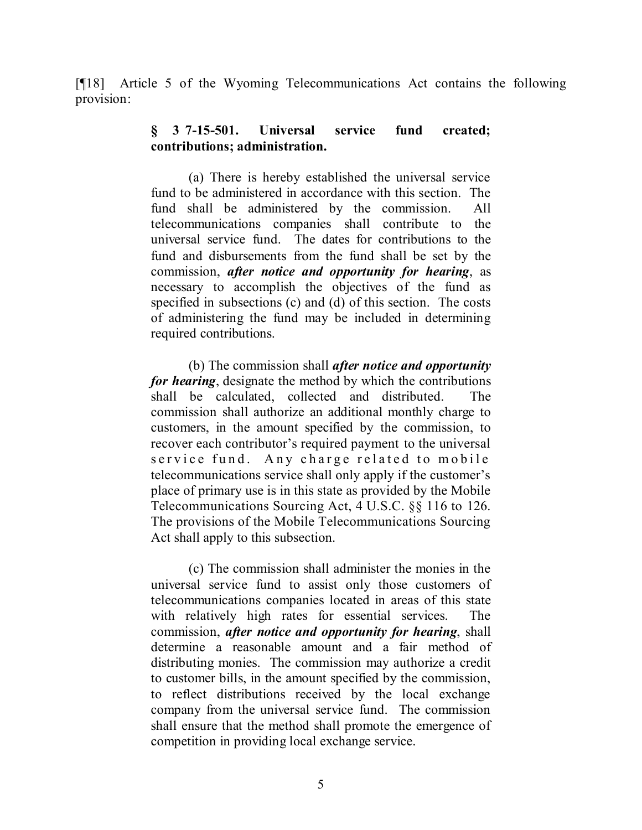[¶18] Article 5 of the Wyoming Telecommunications Act contains the following provision:

### **§ 37-15-501. Universal service fund created; contributions; administration.**

(a) There is hereby established the universal service fund to be administered in accordance with this section. The fund shall be administered by the commission. All telecommunications companies shall contribute to the universal service fund. The dates for contributions to the fund and disbursements from the fund shall be set by the commission, *after notice and opportunity for hearing*, as necessary to accomplish the objectives of the fund as specified in subsections (c) and (d) of this section. The costs of administering the fund may be included in determining required contributions.

(b) The commission shall *after notice and opportunity for hearing*, designate the method by which the contributions shall be calculated, collected and distributed. The commission shall authorize an additional monthly charge to customers, in the amount specified by the commission, to recover each contributor's required payment to the universal service fund. Any charge related to mobile telecommunications service shall only apply if the customer's place of primary use is in this state as provided by the Mobile Telecommunications Sourcing Act, 4 U.S.C. §§ 116 to 126. The provisions of the Mobile Telecommunications Sourcing Act shall apply to this subsection.

(c) The commission shall administer the monies in the universal service fund to assist only those customers of telecommunications companies located in areas of this state with relatively high rates for essential services. The commission, *after notice and opportunity for hearing*, shall determine a reasonable amount and a fair method of distributing monies. The commission may authorize a credit to customer bills, in the amount specified by the commission, to reflect distributions received by the local exchange company from the universal service fund. The commission shall ensure that the method shall promote the emergence of competition in providing local exchange service.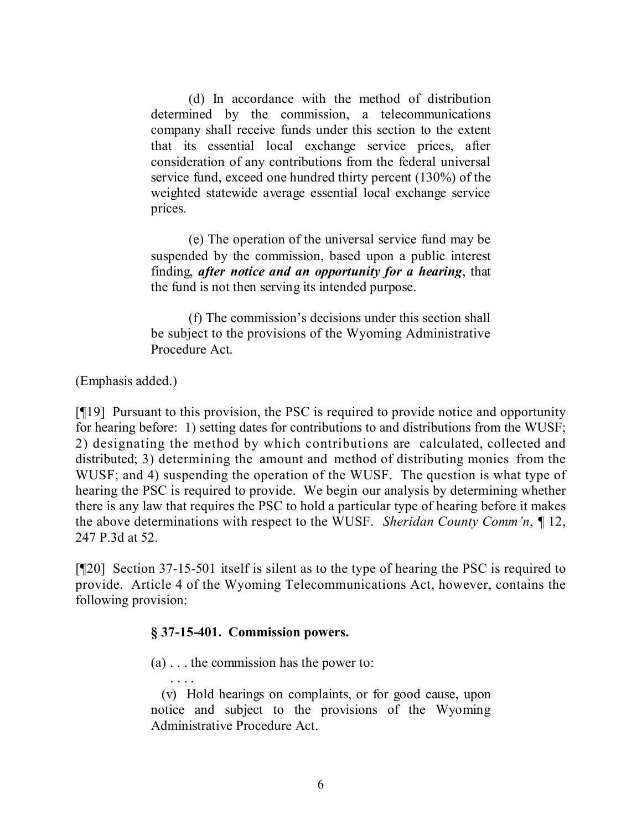(d) In accordance with the method of distribution determined by the commission, a telecommunications company shall receive funds under this section to the extent that its essential local exchange service prices, after consideration of any contributions from the federal universal service fund, exceed one hundred thirty percent (130%) of the weighted statewide average essential local exchange service prices.

(e) The operation of the universal service fund may be suspended by the commission, based upon a public interest finding, *after notice and an opportunity for a hearing*, that the fund is not then serving its intended purpose.

(f) The commission's decisions under this section shall be subject to the provisions of the Wyoming Administrative Procedure Act.

(Emphasis added.)

[¶19] Pursuant to this provision, the PSC is required to provide notice and opportunity for hearing before: 1) setting dates for contributions to and distributions from the WUSF; 2) designating the method by which contributions are calculated, collected and distributed; 3) determining the amount and method of distributing monies from the WUSF; and 4) suspending the operation of the WUSF. The question is what type of hearing the PSC is required to provide. We begin our analysis by determining whether there is any law that requires the PSC to hold a particular type of hearing before it makes the above determinations with respect to the WUSF. *Sheridan County Comm'n*, ¶ 12, 247 P.3d at 52.

[¶20] Section 37-15-501 itself is silent as to the type of hearing the PSC is required to provide. Article 4 of the Wyoming Telecommunications Act, however, contains the following provision:

## **§ 37-15-401. Commission powers.**

(a) . . . the commission has the power to:

. . . . (v) Hold hearings on complaints, or for good cause, upon notice and subject to the provisions of the Wyoming Administrative Procedure Act.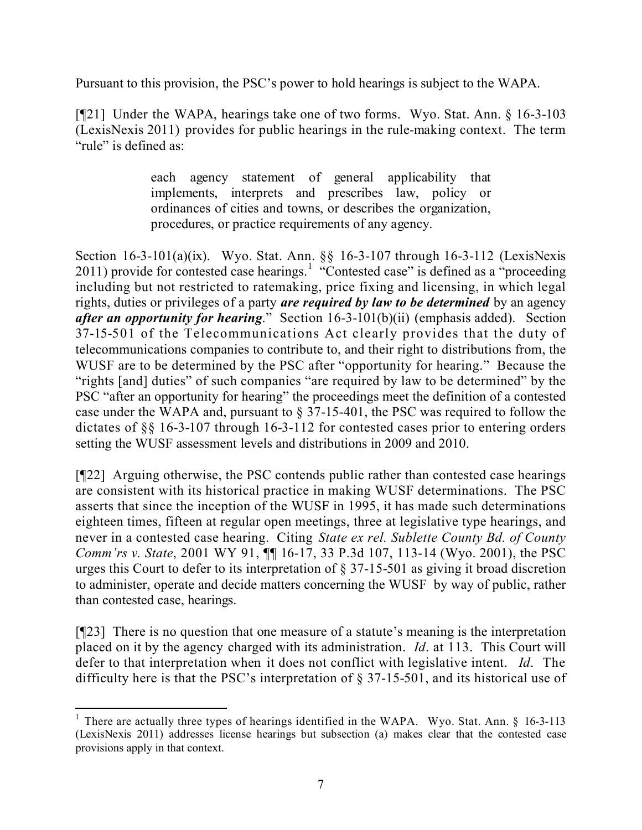Pursuant to this provision, the PSC's power to hold hearings is subject to the WAPA.

[¶21] Under the WAPA, hearings take one of two forms. Wyo. Stat. Ann. § 16-3-103 (LexisNexis 2011) provides for public hearings in the rule-making context. The term "rule" is defined as:

> each agency statement of general applicability that implements, interprets and prescribes law, policy or ordinances of cities and towns, or describes the organization, procedures, or practice requirements of any agency.

Section 16-3-101(a)(ix). Wyo. Stat. Ann. §§ 16-3-107 through 16-3-112 (LexisNexis 2011) provide for contested case hearings.<sup>1</sup> "Contested case" is defined as a "proceeding" including but not restricted to ratemaking, price fixing and licensing, in which legal rights, duties or privileges of a party *are required by law to be determined* by an agency *after an opportunity for hearing*." Section 16-3-101(b)(ii) (emphasis added). Section 37-15-501 of the Telecommunications Act clearly provides that the duty of telecommunications companies to contribute to, and their right to distributions from, the WUSF are to be determined by the PSC after "opportunity for hearing." Because the "rights [and] duties" of such companies "are required by law to be determined" by the PSC "after an opportunity for hearing" the proceedings meet the definition of a contested case under the WAPA and, pursuant to § 37-15-401, the PSC was required to follow the dictates of §§ 16-3-107 through 16-3-112 for contested cases prior to entering orders setting the WUSF assessment levels and distributions in 2009 and 2010.

[¶22] Arguing otherwise, the PSC contends public rather than contested case hearings are consistent with its historical practice in making WUSF determinations. The PSC asserts that since the inception of the WUSF in 1995, it has made such determinations eighteen times, fifteen at regular open meetings, three at legislative type hearings, and never in a contested case hearing. Citing *State ex rel. Sublette County Bd. of County Comm'rs v. State*, 2001 WY 91,  $\P\P$  16-17, 33 P.3d 107, 113-14 (Wyo. 2001), the PSC urges this Court to defer to its interpretation of § 37-15-501 as giving it broad discretion to administer, operate and decide matters concerning the WUSF by way of public, rather than contested case, hearings.

[¶23] There is no question that one measure of a statute's meaning is the interpretation placed on it by the agency charged with its administration. *Id*. at 113. This Court will defer to that interpretation when it does not conflict with legislative intent. *Id*. The difficulty here is that the PSC's interpretation of § 37-15-501, and its historical use of

 <sup>1</sup> There are actually three types of hearings identified in the WAPA. Wyo. Stat. Ann.  $\S$  16-3-113 (LexisNexis 2011) addresses license hearings but subsection (a) makes clear that the contested case provisions apply in that context.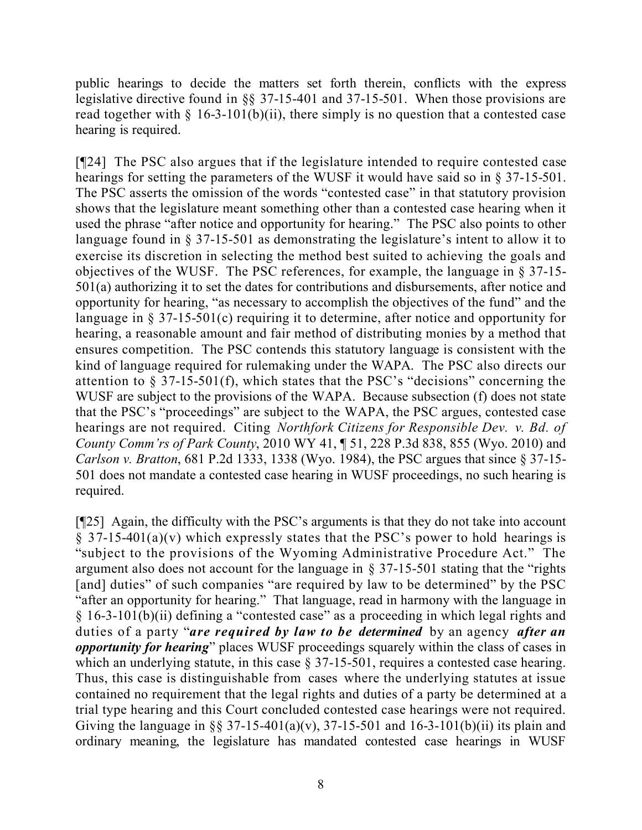public hearings to decide the matters set forth therein, conflicts with the express legislative directive found in §§ 37-15-401 and 37-15-501. When those provisions are read together with  $\S$  16-3-101(b)(ii), there simply is no question that a contested case hearing is required.

[¶24] The PSC also argues that if the legislature intended to require contested case hearings for setting the parameters of the WUSF it would have said so in § 37-15-501. The PSC asserts the omission of the words "contested case" in that statutory provision shows that the legislature meant something other than a contested case hearing when it used the phrase "after notice and opportunity for hearing." The PSC also points to other language found in § 37-15-501 as demonstrating the legislature's intent to allow it to exercise its discretion in selecting the method best suited to achieving the goals and objectives of the WUSF. The PSC references, for example, the language in § 37-15- 501(a) authorizing it to set the dates for contributions and disbursements, after notice and opportunity for hearing, "as necessary to accomplish the objectives of the fund" and the language in § 37-15-501(c) requiring it to determine, after notice and opportunity for hearing, a reasonable amount and fair method of distributing monies by a method that ensures competition. The PSC contends this statutory language is consistent with the kind of language required for rulemaking under the WAPA. The PSC also directs our attention to § 37-15-501(f), which states that the PSC's "decisions" concerning the WUSF are subject to the provisions of the WAPA. Because subsection (f) does not state that the PSC's "proceedings" are subject to the WAPA, the PSC argues, contested case hearings are not required. Citing *Northfork Citizens for Responsible Dev. v. Bd. of County Comm'rs of Park County*, 2010 WY 41, ¶ 51, 228 P.3d 838, 855 (Wyo. 2010) and *Carlson v. Bratton*, 681 P.2d 1333, 1338 (Wyo. 1984), the PSC argues that since § 37-15- 501 does not mandate a contested case hearing in WUSF proceedings, no such hearing is required.

[¶25] Again, the difficulty with the PSC's arguments is that they do not take into account  $\S$  37-15-401(a)(v) which expressly states that the PSC's power to hold hearings is "subject to the provisions of the Wyoming Administrative Procedure Act." The argument also does not account for the language in § 37-15-501 stating that the "rights [and] duties" of such companies "are required by law to be determined" by the PSC "after an opportunity for hearing." That language, read in harmony with the language in § 16-3-101(b)(ii) defining a "contested case" as a proceeding in which legal rights and duties of a party "*are required by law to be determined* by an agency *after an opportunity for hearing*" places WUSF proceedings squarely within the class of cases in which an underlying statute, in this case § 37-15-501, requires a contested case hearing. Thus, this case is distinguishable from cases where the underlying statutes at issue contained no requirement that the legal rights and duties of a party be determined at a trial type hearing and this Court concluded contested case hearings were not required. Giving the language in §§ 37-15-401(a)(v), 37-15-501 and 16-3-101(b)(ii) its plain and ordinary meaning, the legislature has mandated contested case hearings in WUSF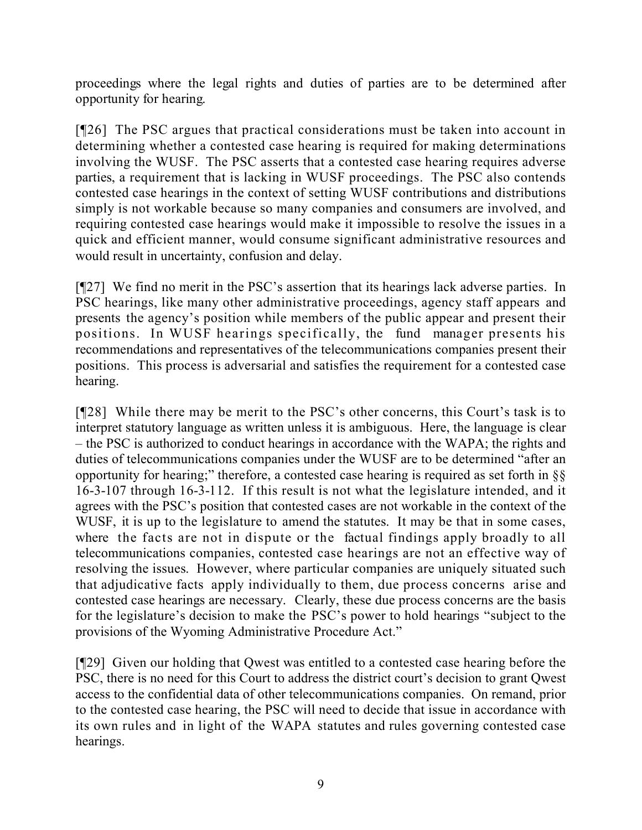proceedings where the legal rights and duties of parties are to be determined after opportunity for hearing.

[¶26] The PSC argues that practical considerations must be taken into account in determining whether a contested case hearing is required for making determinations involving the WUSF. The PSC asserts that a contested case hearing requires adverse parties, a requirement that is lacking in WUSF proceedings. The PSC also contends contested case hearings in the context of setting WUSF contributions and distributions simply is not workable because so many companies and consumers are involved, and requiring contested case hearings would make it impossible to resolve the issues in a quick and efficient manner, would consume significant administrative resources and would result in uncertainty, confusion and delay.

[¶27] We find no merit in the PSC's assertion that its hearings lack adverse parties. In PSC hearings, like many other administrative proceedings, agency staff appears and presents the agency's position while members of the public appear and present their positions. In WUSF hearings specifically, the fund manager presents his recommendations and representatives of the telecommunications companies present their positions. This process is adversarial and satisfies the requirement for a contested case hearing.

[¶28] While there may be merit to the PSC's other concerns, this Court's task is to interpret statutory language as written unless it is ambiguous. Here, the language is clear – the PSC is authorized to conduct hearings in accordance with the WAPA; the rights and duties of telecommunications companies under the WUSF are to be determined "after an opportunity for hearing;" therefore, a contested case hearing is required as set forth in §§ 16-3-107 through 16-3-112. If this result is not what the legislature intended, and it agrees with the PSC's position that contested cases are not workable in the context of the WUSF, it is up to the legislature to amend the statutes. It may be that in some cases, where the facts are not in dispute or the factual findings apply broadly to all telecommunications companies, contested case hearings are not an effective way of resolving the issues. However, where particular companies are uniquely situated such that adjudicative facts apply individually to them, due process concerns arise and contested case hearings are necessary. Clearly, these due process concerns are the basis for the legislature's decision to make the PSC's power to hold hearings "subject to the provisions of the Wyoming Administrative Procedure Act."

[¶29] Given our holding that Qwest was entitled to a contested case hearing before the PSC, there is no need for this Court to address the district court's decision to grant Qwest access to the confidential data of other telecommunications companies. On remand, prior to the contested case hearing, the PSC will need to decide that issue in accordance with its own rules and in light of the WAPA statutes and rules governing contested case hearings.